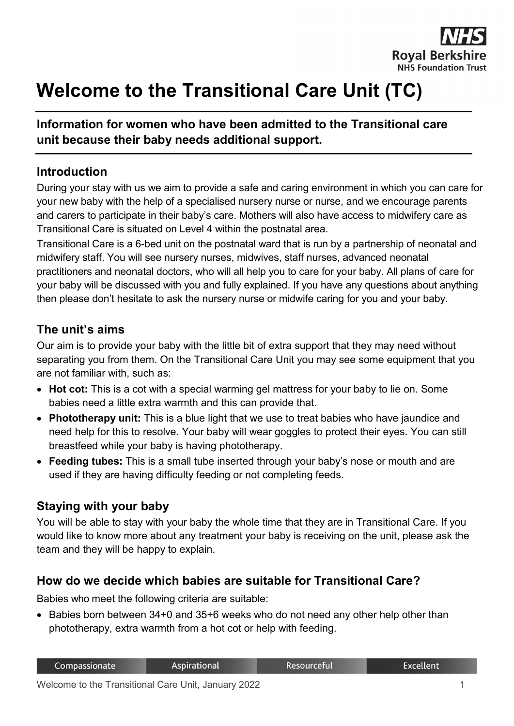

# **Welcome to the Transitional Care Unit (TC)**

#### **Information for women who have been admitted to the Transitional care unit because their baby needs additional support.**

#### **Introduction**

During your stay with us we aim to provide a safe and caring environment in which you can care for your new baby with the help of a specialised nursery nurse or nurse, and we encourage parents and carers to participate in their baby's care. Mothers will also have access to midwifery care as Transitional Care is situated on Level 4 within the postnatal area.

Transitional Care is a 6-bed unit on the postnatal ward that is run by a partnership of neonatal and midwifery staff. You will see nursery nurses, midwives, staff nurses, advanced neonatal practitioners and neonatal doctors, who will all help you to care for your baby. All plans of care for your baby will be discussed with you and fully explained. If you have any questions about anything then please don't hesitate to ask the nursery nurse or midwife caring for you and your baby.

#### **The unit's aims**

Our aim is to provide your baby with the little bit of extra support that they may need without separating you from them. On the Transitional Care Unit you may see some equipment that you are not familiar with, such as:

- **Hot cot:** This is a cot with a special warming gel mattress for your baby to lie on. Some babies need a little extra warmth and this can provide that.
- **Phototherapy unit:** This is a blue light that we use to treat babies who have jaundice and need help for this to resolve. Your baby will wear goggles to protect their eyes. You can still breastfeed while your baby is having phototherapy.
- **Feeding tubes:** This is a small tube inserted through your baby's nose or mouth and are used if they are having difficulty feeding or not completing feeds.

#### **Staying with your baby**

You will be able to stay with your baby the whole time that they are in Transitional Care. If you would like to know more about any treatment your baby is receiving on the unit, please ask the team and they will be happy to explain.

#### **How do we decide which babies are suitable for Transitional Care?**

Babies who meet the following criteria are suitable:

• Babies born between 34+0 and 35+6 weeks who do not need any other help other than phototherapy, extra warmth from a hot cot or help with feeding.

| Compassionate | Aspirational | Resourceful | <b>Excellent</b> |
|---------------|--------------|-------------|------------------|
|               |              |             |                  |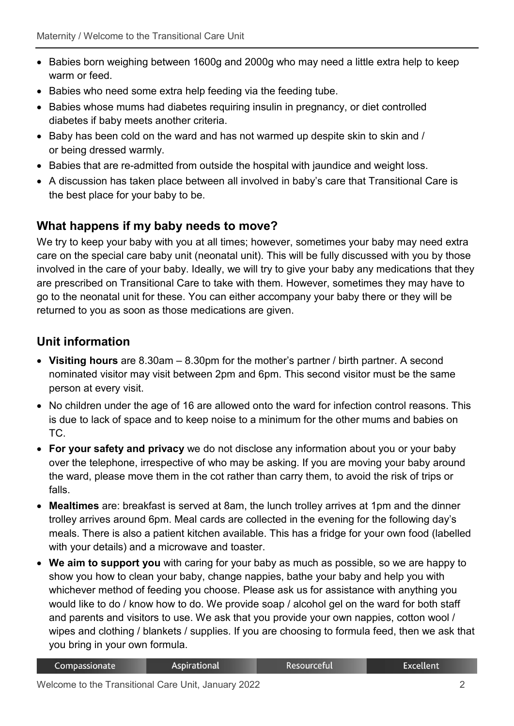- Babies born weighing between 1600g and 2000g who may need a little extra help to keep warm or feed.
- Babies who need some extra help feeding via the feeding tube.
- Babies whose mums had diabetes requiring insulin in pregnancy, or diet controlled diabetes if baby meets another criteria.
- Baby has been cold on the ward and has not warmed up despite skin to skin and / or being dressed warmly.
- Babies that are re-admitted from outside the hospital with jaundice and weight loss.
- A discussion has taken place between all involved in baby's care that Transitional Care is the best place for your baby to be.

### **What happens if my baby needs to move?**

We try to keep your baby with you at all times; however, sometimes your baby may need extra care on the special care baby unit (neonatal unit). This will be fully discussed with you by those involved in the care of your baby. Ideally, we will try to give your baby any medications that they are prescribed on Transitional Care to take with them. However, sometimes they may have to go to the neonatal unit for these. You can either accompany your baby there or they will be returned to you as soon as those medications are given.

## **Unit information**

- **Visiting hours** are 8.30am 8.30pm for the mother's partner / birth partner. A second nominated visitor may visit between 2pm and 6pm. This second visitor must be the same person at every visit.
- No children under the age of 16 are allowed onto the ward for infection control reasons. This is due to lack of space and to keep noise to a minimum for the other mums and babies on TC.
- **For your safety and privacy** we do not disclose any information about you or your baby over the telephone, irrespective of who may be asking. If you are moving your baby around the ward, please move them in the cot rather than carry them, to avoid the risk of trips or falls.
- **Mealtimes** are: breakfast is served at 8am, the lunch trolley arrives at 1pm and the dinner trolley arrives around 6pm. Meal cards are collected in the evening for the following day's meals. There is also a patient kitchen available. This has a fridge for your own food (labelled with your details) and a microwave and toaster.
- **We aim to support you** with caring for your baby as much as possible, so we are happy to show you how to clean your baby, change nappies, bathe your baby and help you with whichever method of feeding you choose. Please ask us for assistance with anything you would like to do / know how to do. We provide soap / alcohol gel on the ward for both staff and parents and visitors to use. We ask that you provide your own nappies, cotton wool / wipes and clothing / blankets / supplies. If you are choosing to formula feed, then we ask that you bring in your own formula.

| <b>Resourceful</b><br><b>Aspirational</b><br>Compassionate | Excellent <sup>'</sup> |
|------------------------------------------------------------|------------------------|
|------------------------------------------------------------|------------------------|